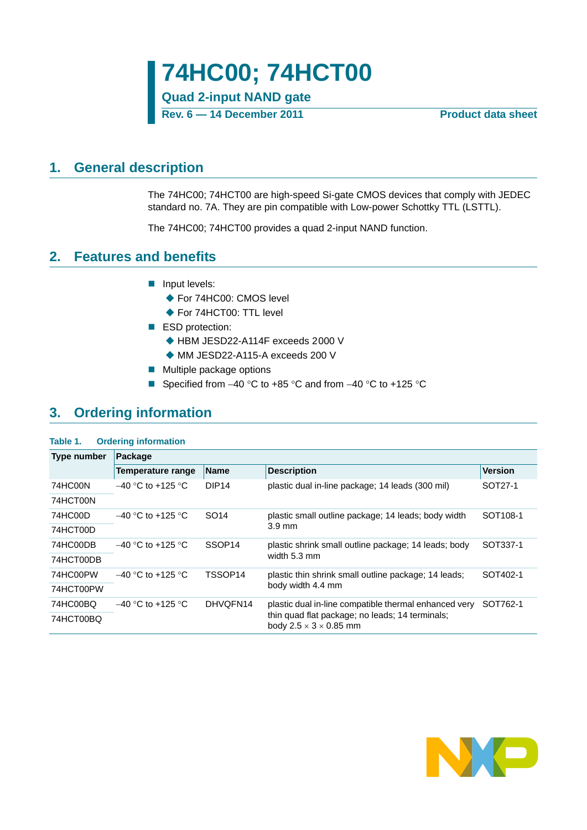**Rev. 6 — 14 December 2011 Product data sheet**

## <span id="page-0-0"></span>**1. General description**

The 74HC00; 74HCT00 are high-speed Si-gate CMOS devices that comply with JEDEC standard no. 7A. They are pin compatible with Low-power Schottky TTL (LSTTL).

The 74HC00; 74HCT00 provides a quad 2-input NAND function.

## <span id="page-0-1"></span>**2. Features and benefits**

- **Input levels:** 
	- ◆ For 74HC00: CMOS level
	- ◆ For 74HCT00: TTL level
- ESD protection:
	- ◆ HBM JESD22-A114F exceeds 2000 V
	- MM JESD22-A115-A exceeds 200 V
- **Multiple package options**
- Specified from  $-40$  °C to  $+85$  °C and from  $-40$  °C to  $+125$  °C

## <span id="page-0-2"></span>**3. Ordering information**

#### **Table 1. Ordering information**

| <b>Type number</b> | Package             |                    |                                                                                       |                      |  |  |  |  |
|--------------------|---------------------|--------------------|---------------------------------------------------------------------------------------|----------------------|--|--|--|--|
|                    | Temperature range   | <b>Name</b>        | <b>Description</b>                                                                    | <b>Version</b>       |  |  |  |  |
| 74HC00N            | $-40$ °C to +125 °C | DIP <sub>14</sub>  | plastic dual in-line package; 14 leads (300 mil)                                      | SOT27-1              |  |  |  |  |
| 74HCT00N           |                     |                    |                                                                                       |                      |  |  |  |  |
| 74HC00D            | $-40$ °C to +125 °C | SO <sub>14</sub>   | plastic small outline package; 14 leads; body width                                   | SOT <sub>108-1</sub> |  |  |  |  |
| 74HCT00D           |                     |                    | $3.9 \text{ mm}$                                                                      |                      |  |  |  |  |
| 74HC00DB           | $-40$ °C to +125 °C | SSOP <sub>14</sub> | plastic shrink small outline package; 14 leads; body                                  | SOT337-1             |  |  |  |  |
| 74HCT00DB          |                     |                    | width 5.3 mm                                                                          |                      |  |  |  |  |
| 74HC00PW           | $-40$ °C to +125 °C | TSSOP14            | plastic thin shrink small outline package; 14 leads;                                  | SOT402-1             |  |  |  |  |
| 74HCT00PW          |                     |                    | body width 4.4 mm                                                                     |                      |  |  |  |  |
| 74HC00BQ           | $-40$ °C to +125 °C | DHVOFN14           | plastic dual in-line compatible thermal enhanced very                                 | SOT762-1             |  |  |  |  |
| 74HCT00BQ          |                     |                    | thin quad flat package; no leads; 14 terminals;<br>body $2.5 \times 3 \times 0.85$ mm |                      |  |  |  |  |

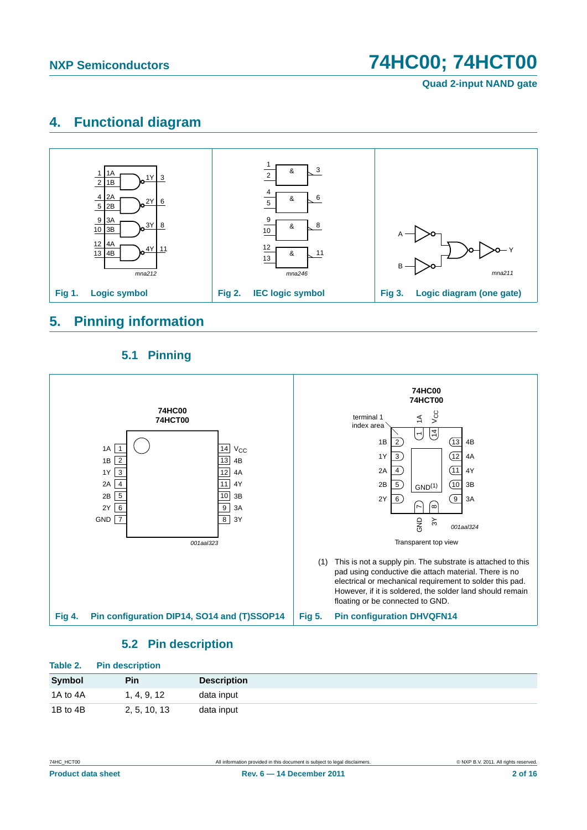**Quad 2-input NAND gate**

## <span id="page-1-0"></span>**4. Functional diagram**



# <span id="page-1-1"></span>**5. Pinning information**

### **5.1 Pinning**

<span id="page-1-2"></span>

## **5.2 Pin description**

<span id="page-1-3"></span>

| Table 2. | <b>Pin description</b> |                    |
|----------|------------------------|--------------------|
| Symbol   | Pin                    | <b>Description</b> |
| 1A to 4A | 1, 4, 9, 12            | data input         |
| 1B to 4B | 2, 5, 10, 13           | data input         |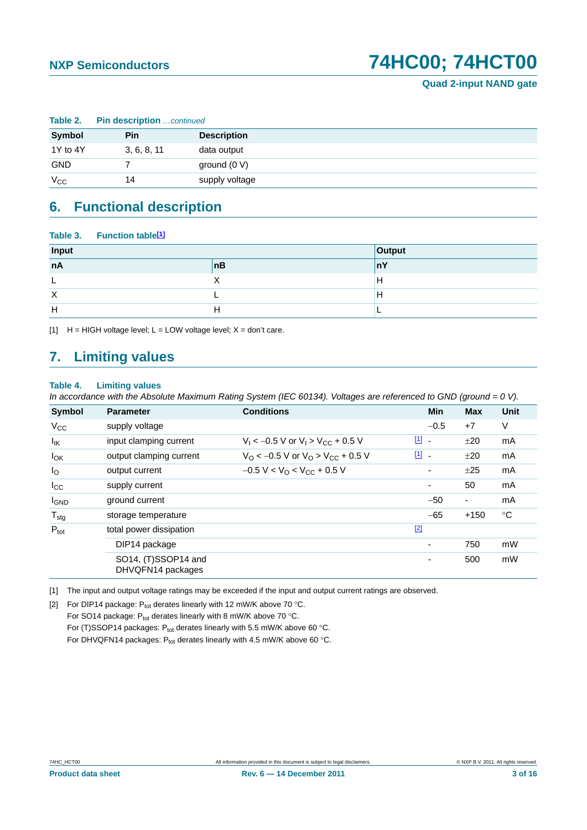| Table 2.     | <b>Pin description</b> continued |                    |  |  |  |  |
|--------------|----------------------------------|--------------------|--|--|--|--|
| Symbol       | Pin                              | <b>Description</b> |  |  |  |  |
| 1Y to 4Y     | 3, 6, 8, 11                      | data output        |  |  |  |  |
| <b>GND</b>   |                                  | ground $(0 V)$     |  |  |  |  |
| $V_{\rm CC}$ | 14                               | supply voltage     |  |  |  |  |

# <span id="page-2-3"></span>**6. Functional description**

|          | Table 3. Function table <sup>[1]</sup> |    |        |
|----------|----------------------------------------|----|--------|
| Input    |                                        |    | Output |
| nA       |                                        | nB | ۱nΥ    |
|          |                                        |    | н      |
| $\times$ |                                        |    | н      |
| Н        |                                        | H  |        |

<span id="page-2-0"></span>[1]  $H = HIGH$  voltage level;  $L = LOW$  voltage level;  $X = don't$  care.

# <span id="page-2-4"></span>**7. Limiting values**

#### **Table 4. Limiting values**

*In accordance with the Absolute Maximum Rating System (IEC 60134). Voltages are referenced to GND (ground = 0 V).*

| <b>Symbol</b>    | <b>Parameter</b>                         | <b>Conditions</b>                                             | Min                           | <b>Max</b>               | <b>Unit</b> |
|------------------|------------------------------------------|---------------------------------------------------------------|-------------------------------|--------------------------|-------------|
| $V_{CC}$         | supply voltage                           |                                                               | $-0.5$                        | $+7$                     | V           |
| $I_{IK}$         | input clamping current                   | $V_1 < -0.5$ V or $V_1 > V_{CC} + 0.5$ V                      | $\boxed{1}$<br>$\blacksquare$ | ±20                      | mA          |
| $I_{OK}$         | output clamping current                  | $V_{\rm O}$ < -0.5 V or $V_{\rm O}$ > V <sub>CC</sub> + 0.5 V | [1] .                         | ±20                      | mA          |
| $I_{\rm O}$      | output current                           | $-0.5 V < VO < VCC + 0.5 V$                                   | $\overline{\phantom{a}}$      | ±25                      | mA          |
| $I_{\rm CC}$     | supply current                           |                                                               | -                             | 50                       | mA          |
| <b>I</b> GND     | ground current                           |                                                               | $-50$                         | $\overline{\phantom{a}}$ | mA          |
| $T_{\text{stg}}$ | storage temperature                      |                                                               | $-65$                         | $+150$                   | $^{\circ}C$ |
| $P_{\text{tot}}$ | total power dissipation                  |                                                               | $[2]$                         |                          |             |
|                  | DIP14 package                            |                                                               | $\overline{\phantom{a}}$      | 750                      | mW          |
|                  | SO14, (T)SSOP14 and<br>DHVQFN14 packages |                                                               | $\overline{a}$                | 500                      | mW          |

<span id="page-2-1"></span>[1] The input and output voltage ratings may be exceeded if the input and output current ratings are observed.

<span id="page-2-2"></span>[2] For DIP14 package:  $P_{tot}$  derates linearly with 12 mW/K above 70 °C.

For SO14 package:  $P_{tot}$  derates linearly with 8 mW/K above 70 °C. For (T)SSOP14 packages:  $P_{tot}$  derates linearly with 5.5 mW/K above 60 °C. For DHVQFN14 packages:  $P_{tot}$  derates linearly with 4.5 mW/K above 60 °C.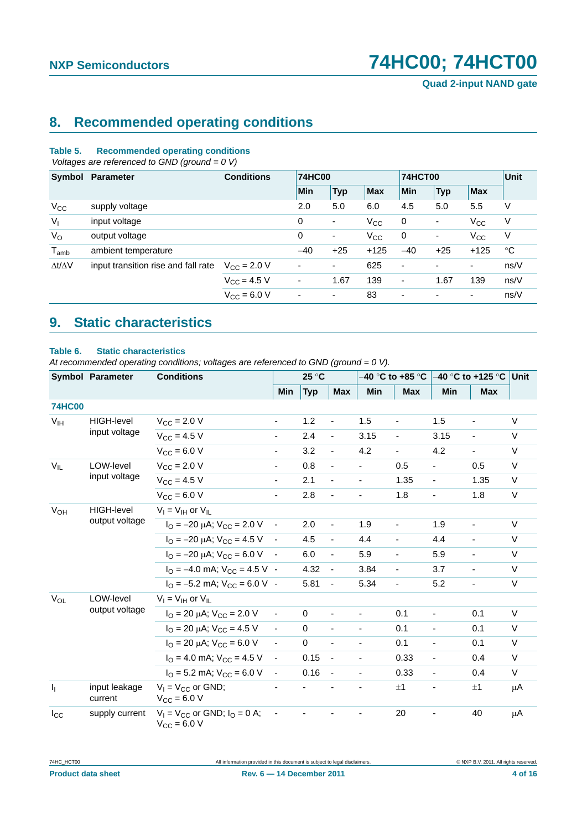# <span id="page-3-0"></span>**8. Recommended operating conditions**

#### **Table 5. Recommended operating conditions**

 *Voltages are referenced to GND (ground = 0 V)*

|                     | Symbol Parameter                    | <b>Conditions</b>    | <b>74HC00</b>            |                          |            | <b>74HCT00</b>           |                          |              | <b>Unit</b> |
|---------------------|-------------------------------------|----------------------|--------------------------|--------------------------|------------|--------------------------|--------------------------|--------------|-------------|
|                     |                                     |                      | Min                      | <b>Typ</b>               | <b>Max</b> | Min                      | <b>Typ</b>               | <b>Max</b>   |             |
| $V_{CC}$            | supply voltage                      |                      | 2.0                      | 5.0                      | 6.0        | 4.5                      | 5.0                      | 5.5          | V           |
| $V_{I}$             | input voltage                       |                      | 0                        | $\blacksquare$           | $V_{CC}$   | 0                        | $\overline{\phantom{a}}$ | $V_{\rm CC}$ | V           |
| $V_{\rm O}$         | output voltage                      |                      | 0                        | $\overline{\phantom{a}}$ | $V_{CC}$   | 0                        | ۰                        | $V_{\rm CC}$ | V           |
| $T_{amb}$           | ambient temperature                 |                      | $-40$                    | $+25$                    | $+125$     | $-40$                    | $+25$                    | $+125$       | $^{\circ}C$ |
| $\Delta t/\Delta V$ | input transition rise and fall rate | $V_{\rm CC} = 2.0 V$ | $\overline{\phantom{a}}$ | $\overline{\phantom{a}}$ | 625        |                          | ٠                        | ۰.           | ns/V        |
|                     |                                     | $V_{\rm CC} = 4.5 V$ | $\overline{\phantom{a}}$ | 1.67                     | 139        | $\overline{\phantom{a}}$ | 1.67                     | 139          | ns/V        |
|                     |                                     | $V_{\rm CC} = 6.0 V$ | ۰                        | ٠                        | 83         | $\overline{\phantom{a}}$ | ٠                        | ۰.           | ns/V        |

# <span id="page-3-1"></span>**9. Static characteristics**

#### **Table 6. Static characteristics**

*At recommended operating conditions; voltages are referenced to GND (ground = 0 V).*

|                                        | <b>Symbol Parameter</b>             | <b>Conditions</b>                                                  |                          | 25 °C       |                          |                          | –40 °C to +85 °C         | –40 °C to +125 °C ∣Unit  |                          |         |
|----------------------------------------|-------------------------------------|--------------------------------------------------------------------|--------------------------|-------------|--------------------------|--------------------------|--------------------------|--------------------------|--------------------------|---------|
|                                        |                                     |                                                                    | Min                      | <b>Typ</b>  | <b>Max</b>               | Min                      | <b>Max</b>               | Min                      | <b>Max</b>               |         |
| <b>74HC00</b>                          |                                     |                                                                    |                          |             |                          |                          |                          |                          |                          |         |
| $V_{IH}$                               | <b>HIGH-level</b>                   | $V_{\rm CC} = 2.0 V$                                               | $\overline{\phantom{a}}$ | 1.2         |                          | 1.5                      |                          | 1.5                      |                          | $\vee$  |
|                                        | input voltage                       | $V_{CC} = 4.5 V$                                                   | $\overline{\phantom{a}}$ | 2.4         | $\frac{1}{2}$            | 3.15                     | ÷,                       | 3.15                     | ٠                        | V       |
|                                        |                                     | $V_{CC} = 6.0 V$                                                   | $\overline{\phantom{a}}$ | 3.2         | $\frac{1}{2}$            | 4.2                      | $\overline{\phantom{0}}$ | 4.2                      |                          | V       |
| $V_{IL}$<br>LOW-level<br>input voltage |                                     | $V_{CC}$ = 2.0 V                                                   | $\overline{\phantom{a}}$ | 0.8         | $\blacksquare$           |                          | 0.5                      | $\overline{\phantom{0}}$ | 0.5                      | $\vee$  |
|                                        |                                     | $V_{CC} = 4.5 V$                                                   | $\overline{\phantom{a}}$ | 2.1         | $\overline{\phantom{0}}$ |                          | 1.35                     | -                        | 1.35                     | $\vee$  |
|                                        |                                     | $V_{CC} = 6.0 V$                                                   | $\overline{\phantom{a}}$ | 2.8         | $\overline{\phantom{0}}$ |                          | 1.8                      | $\overline{\phantom{0}}$ | 1.8                      | V       |
| $V_{OH}$                               | <b>HIGH-level</b><br>output voltage | $V_1 = V_{1H}$ or $V_{1L}$                                         |                          |             |                          |                          |                          |                          |                          |         |
|                                        |                                     | $I_{\text{O}} = -20 \mu\text{A}$ ; $V_{\text{CC}} = 2.0 \text{ V}$ | $\sim$                   | 2.0         | $\overline{\phantom{a}}$ | 1.9                      | $\overline{\phantom{0}}$ | 1.9                      | $\overline{\phantom{a}}$ | V       |
|                                        |                                     | $I_{\Omega} = -20 \mu A$ ; $V_{\text{CC}} = 4.5 V$                 | $\sim$                   | 4.5         | $\overline{\phantom{a}}$ | 4.4                      | $\overline{\phantom{0}}$ | 4.4                      | $\blacksquare$           | V       |
|                                        |                                     | $I_{\Omega} = -20 \mu A$ ; $V_{\text{CC}} = 6.0 \text{ V}$         | $\sim$                   | 6.0         | $\blacksquare$           | 5.9                      | $\overline{\phantom{a}}$ | 5.9                      | $\overline{\phantom{a}}$ | V       |
|                                        |                                     | $I_{\Omega} = -4.0$ mA; $V_{\text{CC}} = 4.5$ V -                  |                          | 4.32        | $\blacksquare$           | 3.84                     | $\overline{\phantom{a}}$ | 3.7                      | $\blacksquare$           | V       |
|                                        |                                     | $I_{\Omega} = -5.2$ mA; $V_{\text{CC}} = 6.0$ V -                  |                          | 5.81        | $\blacksquare$           | 5.34                     | $\overline{\phantom{a}}$ | 5.2                      | $\overline{\phantom{a}}$ | V       |
| $V_{OL}$                               | LOW-level                           | $V_I = V_{IH}$ or $V_{IL}$                                         |                          |             |                          |                          |                          |                          |                          |         |
|                                        | output voltage                      | $I_{\Omega}$ = 20 µA; $V_{\text{CC}}$ = 2.0 V                      | $\blacksquare$           | $\Omega$    | ٠                        | $\overline{\phantom{a}}$ | 0.1                      | $\frac{1}{2}$            | 0.1                      | $\vee$  |
|                                        |                                     | $I_{\text{O}}$ = 20 µA; $V_{\text{CC}}$ = 4.5 V                    | $\omega$                 | $\mathbf 0$ | $\blacksquare$           |                          | 0.1                      | $\blacksquare$           | 0.1                      | $\vee$  |
|                                        |                                     | $I_{\Omega}$ = 20 µA; $V_{CC}$ = 6.0 V                             | $\blacksquare$           | $\mathbf 0$ | $\blacksquare$           | ä,                       | 0.1                      | ÷.                       | 0.1                      | $\vee$  |
|                                        |                                     | $IO = 4.0$ mA; $VCC = 4.5$ V                                       | $\blacksquare$           | 0.15        | $\blacksquare$           |                          | 0.33                     | ÷.                       | 0.4                      | $\vee$  |
|                                        |                                     | $I_{\text{O}} = 5.2 \text{ mA}$ ; $V_{\text{CC}} = 6.0 \text{ V}$  | $\overline{\phantom{a}}$ | 0.16        | $\blacksquare$           | $\blacksquare$           | 0.33                     | ÷.                       | 0.4                      | $\vee$  |
| $\mathbf{I}_{\mathbf{I}}$              | input leakage<br>current            | $V_1 = V_{CC}$ or GND;<br>$V_{\rm CC} = 6.0 V$                     |                          |             |                          |                          | ±1                       |                          | ±1                       | μA      |
| $I_{\rm CC}$                           | supply current                      | $V_1 = V_{CC}$ or GND; $I_Q = 0$ A;<br>$V_{CC} = 6.0 V$            |                          |             |                          |                          | 20                       |                          | 40                       | $\mu$ A |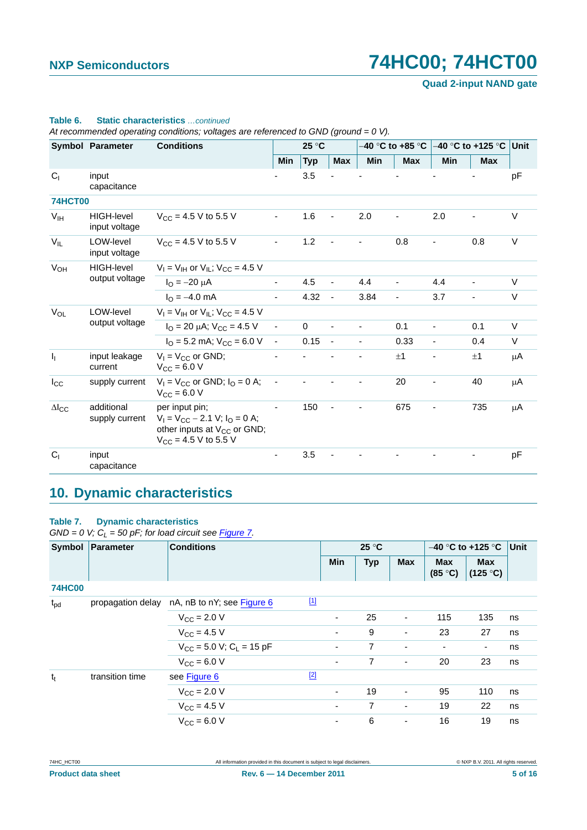**Quad 2-input NAND gate**

|                 | <b>Symbol Parameter</b>             | <b>Conditions</b>                                                                                                              |                | 25 °C        |                          |                |                |                |                |         |
|-----------------|-------------------------------------|--------------------------------------------------------------------------------------------------------------------------------|----------------|--------------|--------------------------|----------------|----------------|----------------|----------------|---------|
|                 |                                     |                                                                                                                                | <b>Min</b>     | <b>Typ</b>   | Max                      | Min            | <b>Max</b>     | <b>Min</b>     | <b>Max</b>     |         |
| C <sub>1</sub>  | input<br>capacitance                |                                                                                                                                |                | 3.5          |                          |                |                |                |                | pF      |
| <b>74HCT00</b>  |                                     |                                                                                                                                |                |              |                          |                |                |                |                |         |
| $V_{IH}$        | HIGH-level<br>input voltage         | $V_{CC}$ = 4.5 V to 5.5 V                                                                                                      |                | 1.6          | $\overline{\phantom{a}}$ | 2.0            |                | 2.0            |                | $\vee$  |
| $V_{IL}$        | LOW-level<br>input voltage          | $V_{\text{CC}} = 4.5 \text{ V}$ to 5.5 V                                                                                       | $\blacksquare$ | $1.2$        | $\blacksquare$           | $\blacksquare$ | 0.8            |                | 0.8            | $\vee$  |
| $V_{OH}$        | <b>HIGH-level</b><br>output voltage | $V_I = V_{IH}$ or $V_{IL}$ ; $V_{CC} = 4.5$ V                                                                                  |                |              |                          |                |                |                |                |         |
|                 |                                     | $I_{\text{O}} = -20 \mu A$                                                                                                     | $\blacksquare$ | 4.5          | $\blacksquare$           | 4.4            | $\blacksquare$ | 4.4            | $\blacksquare$ | $\vee$  |
|                 |                                     | $I_{\Omega} = -4.0$ mA                                                                                                         |                | 4.32         | $\blacksquare$           | 3.84           | $\blacksquare$ | 3.7            | $\blacksquare$ | V       |
| $V_{OL}$        | LOW-level                           | $V_1 = V_{1H}$ or $V_{1L}$ ; $V_{CC} = 4.5$ V                                                                                  |                |              |                          |                |                |                |                |         |
|                 | output voltage                      | $I_{\text{O}}$ = 20 µA; $V_{\text{CC}}$ = 4.5 V                                                                                | $\omega$       | $\mathbf{0}$ | $\blacksquare$           |                | 0.1            | $\blacksquare$ | 0.1            | $\vee$  |
|                 |                                     | $I_{\Omega}$ = 5.2 mA; $V_{\text{CC}}$ = 6.0 V                                                                                 | $\sim$         | 0.15         | $\sim$                   |                | 0.33           | $\blacksquare$ | 0.4            | $\vee$  |
| I <sub>1</sub>  | input leakage<br>current            | $V_1 = V_{CC}$ or GND;<br>$V_{CC} = 6.0 V$                                                                                     |                |              |                          |                | ±1             |                | ±1             | $\mu$ A |
| $I_{\rm CC}$    | supply current                      | $V_1 = V_{CC}$ or GND; $I_0 = 0$ A;<br>$V_{CC} = 6.0 V$                                                                        | $\blacksquare$ |              |                          |                | 20             |                | 40             | μA      |
| $\Delta I_{CC}$ | additional<br>supply current        | per input pin;<br>$V_1 = V_{CC} - 2.1$ V; $I_0 = 0$ A;<br>other inputs at V <sub>CC</sub> or GND;<br>$V_{CC}$ = 4.5 V to 5.5 V |                | 150          | $\bar{\phantom{a}}$      |                | 675            |                | 735            | $\mu$ A |
| C <sub>1</sub>  | input<br>capacitance                |                                                                                                                                |                | 3.5          |                          |                |                |                |                | pF      |

#### **Table 6. Static characteristics** *…continued*

*At recommended operating conditions; voltages are referenced to GND (ground = 0 V).*

# <span id="page-4-0"></span>**10. Dynamic characteristics**

#### **Table 7. Dynamic characteristics**

 $GND = 0$  V;  $C_L = 50$  pF; for load circuit see *[Figure 7](#page-6-0)*.

| <b>Symbol</b> | Parameter         | <b>Conditions</b>                        |             | 25 °C                    |            |                              | $-40$ °C to +125 °C      |                        | Unit |
|---------------|-------------------|------------------------------------------|-------------|--------------------------|------------|------------------------------|--------------------------|------------------------|------|
|               |                   |                                          | <b>Min</b>  |                          | <b>Typ</b> | <b>Max</b>                   | <b>Max</b><br>(85 °C)    | <b>Max</b><br>(125 °C) |      |
| <b>74HC00</b> |                   |                                          |             |                          |            |                              |                          |                        |      |
| $t_{\rm pd}$  | propagation delay | nA, nB to nY; see Figure 6               | $\boxed{1}$ |                          |            |                              |                          |                        |      |
|               |                   | $V_{\rm CC}$ = 2.0 V                     |             | ۰                        | 25         | $\overline{\phantom{a}}$     | 115                      | 135                    | ns   |
|               |                   | $V_{CC}$ = 4.5 V                         |             | ۰                        | 9          | $\qquad \qquad \blacksquare$ | 23                       | 27                     | ns   |
|               |                   | $V_{CC}$ = 5.0 V; C <sub>L</sub> = 15 pF |             | $\overline{\phantom{0}}$ | 7          | $\overline{\phantom{a}}$     | $\overline{\phantom{a}}$ | ٠                      | ns   |
|               |                   | $V_{\rm CC} = 6.0 V$                     |             | ۰                        | 7          | $\overline{\phantom{a}}$     | 20                       | 23                     | ns   |
| $t_t$         | transition time   | see Figure 6                             | $[2]$       |                          |            |                              |                          |                        |      |
|               |                   | $V_{CC}$ = 2.0 V                         |             | ۰.                       | 19         | $\qquad \qquad \blacksquare$ | 95                       | 110                    | ns   |
|               |                   | $V_{CC}$ = 4.5 V                         |             | ۰                        | 7          | $\overline{\phantom{a}}$     | 19                       | 22                     | ns   |
|               |                   | $V_{CC}$ = 6.0 V                         |             | ۰                        | 6          | $\qquad \qquad \blacksquare$ | 16                       | 19                     | ns   |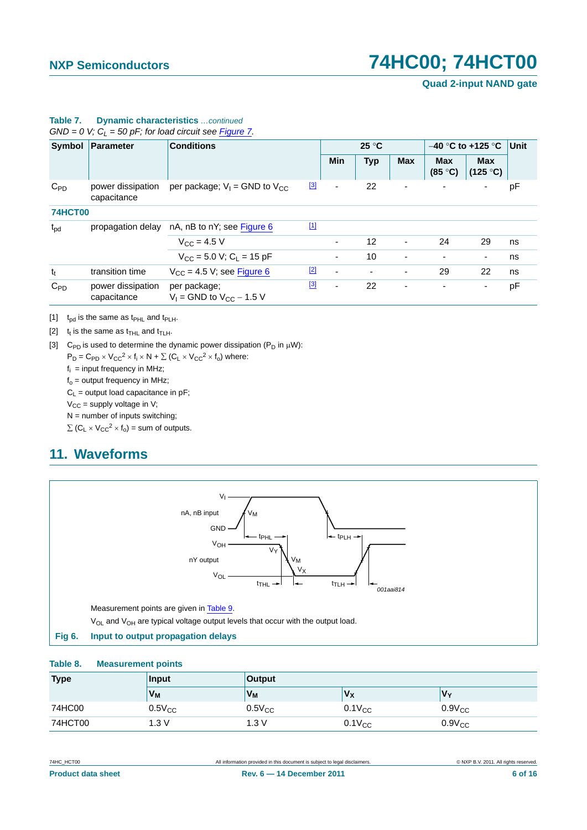**Quad 2-input NAND gate**

| Symbol         | Parameter                        | <b>Conditions</b>                               |             | $25^{\circ}$ C           |            |                          | $-40$ °C to +125 °C      | Unit                                    |    |
|----------------|----------------------------------|-------------------------------------------------|-------------|--------------------------|------------|--------------------------|--------------------------|-----------------------------------------|----|
|                |                                  |                                                 |             | <b>Min</b>               | <b>Typ</b> | <b>Max</b>               | <b>Max</b><br>(85 °C)    | <b>Max</b><br>$(125 \text{ }^{\circ}C)$ |    |
| $C_{PD}$       | power dissipation<br>capacitance | per package; $V_1$ = GND to $V_{CC}$            | [3]         | ۰                        | 22         | ٠                        | $\overline{\phantom{0}}$ |                                         | рF |
| <b>74HCT00</b> |                                  |                                                 |             |                          |            |                          |                          |                                         |    |
| $t_{\rm pd}$   | propagation delay                | nA, nB to nY; see Figure 6                      | $\boxed{1}$ |                          |            |                          |                          |                                         |    |
|                |                                  | $V_{\text{CC}} = 4.5 V$                         |             | ۰                        | 12         | $\overline{\phantom{a}}$ | 24                       | 29                                      | ns |
|                |                                  | $V_{CC}$ = 5.0 V; C <sub>1</sub> = 15 pF        |             | ۰                        | 10         | ٠                        | $\overline{\phantom{a}}$ | ۰                                       | ns |
| $t_t$          | transition time                  | $V_{CC}$ = 4.5 V; see Figure 6                  | $[2]$       | $\overline{\phantom{a}}$ |            | ٠                        | 29                       | 22                                      | ns |
| $C_{PD}$       | power dissipation<br>capacitance | per package;<br>$V_1$ = GND to $V_{CC}$ – 1.5 V | $^{[3]}$    | ۰                        | 22         | -                        | $\blacksquare$           |                                         | pF |

#### **Table 7. Dynamic characteristics** *…continued*  $GND = 0$  V;  $C_L = 50$  pF; for load circuit see Figure 7.

<span id="page-5-1"></span>[1]  $t_{pd}$  is the same as  $t_{PHL}$  and  $t_{PLH}$ .

<span id="page-5-2"></span>[2]  $t_t$  is the same as  $t_{\text{THL}}$  and  $t_{\text{TLH}}$ .

<span id="page-5-3"></span>[3] C<sub>PD</sub> is used to determine the dynamic power dissipation (P<sub>D</sub> in  $\mu$ W):

 $P_D = C_{PD} \times V_{CC}^2 \times f_i \times N + \sum (C_L \times V_{CC}^2 \times f_0)$  where:

 $f_i$  = input frequency in MHz;

 $f_0 =$  output frequency in MHz;

 $C_L$  = output load capacitance in pF;

 $V_{CC}$  = supply voltage in V;

 $N =$  number of inputs switching;

 $\Sigma$  (C<sub>L</sub>  $\times$  V<sub>CC</sub><sup>2</sup>  $\times$  f<sub>o</sub>) = sum of outputs.

# <span id="page-5-4"></span>**11. Waveforms**



#### <span id="page-5-0"></span>**Fig 6. Input to output propagation delays**

#### **Table 8. Measurement points**

| <b>Type</b> | <b>Input</b> | <b>Output</b> |             |             |  |  |  |
|-------------|--------------|---------------|-------------|-------------|--|--|--|
|             | $V_M$        | $V_M$         | $V_X$       | <b>V⋅</b>   |  |  |  |
| 74HC00      | $0.5V_{CC}$  | $0.5V_{CC}$   | $0.1V_{CC}$ | $0.9V_{CC}$ |  |  |  |
| 74HCT00     | 1.3V         | 1.3V          | $0.1V_{CC}$ | $0.9V_{CC}$ |  |  |  |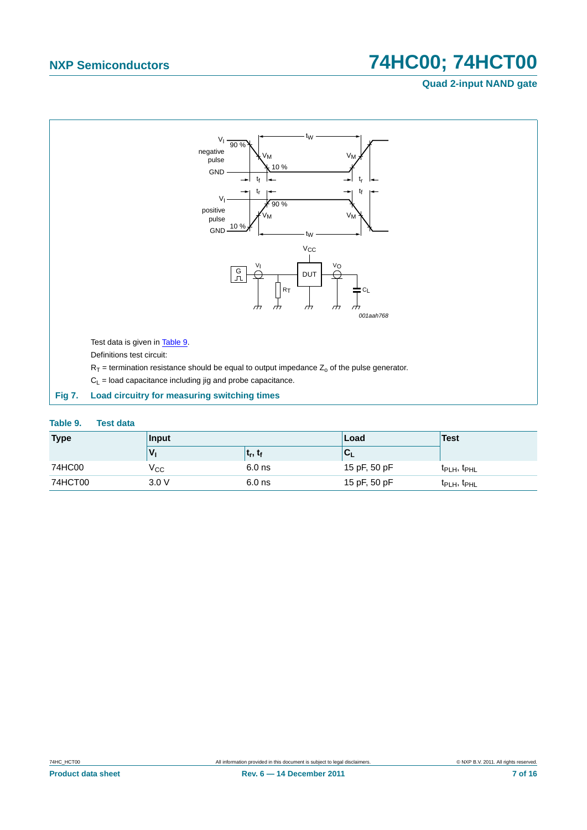### **Quad 2-input NAND gate**



#### <span id="page-6-1"></span><span id="page-6-0"></span>**Table 9. Test data**

| <b>Type</b> | <b>Input</b> |            | Load         | Test                                |  |
|-------------|--------------|------------|--------------|-------------------------------------|--|
|             |              | $t_r, t_f$ | ◡            |                                     |  |
| 74HC00      | $V_{\rm CC}$ | $6.0$ ns   | 15 pF, 50 pF | t <sub>PLH</sub> , t <sub>PHL</sub> |  |
| 74HCT00     | 3.0V         | $6.0$ ns   | 15 pF, 50 pF | t <sub>PLH</sub> , t <sub>PHL</sub> |  |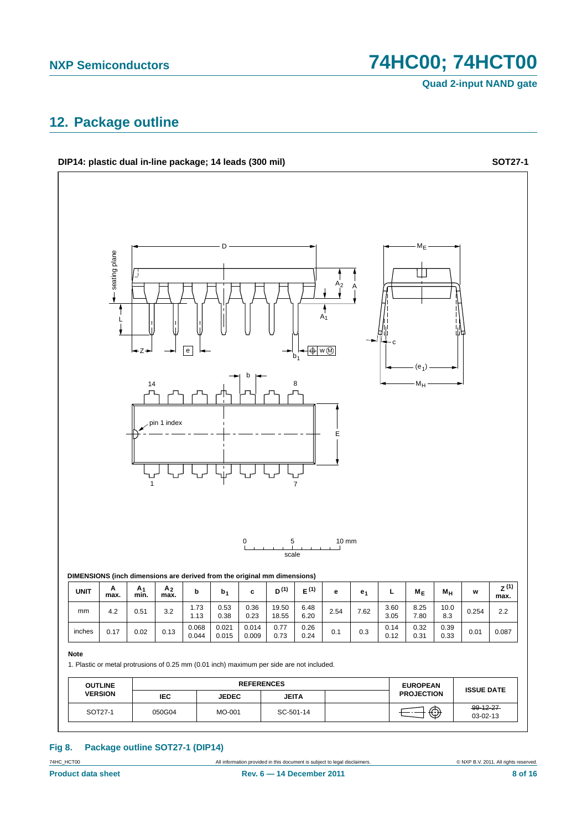**Quad 2-input NAND gate**

## <span id="page-7-0"></span>**12. Package outline**

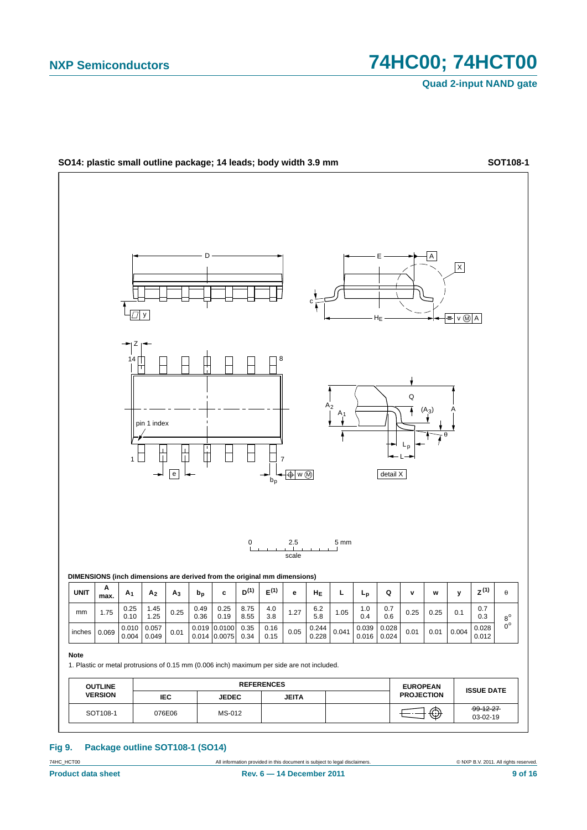

**Fig 9. Package outline SOT108-1 (SO14)**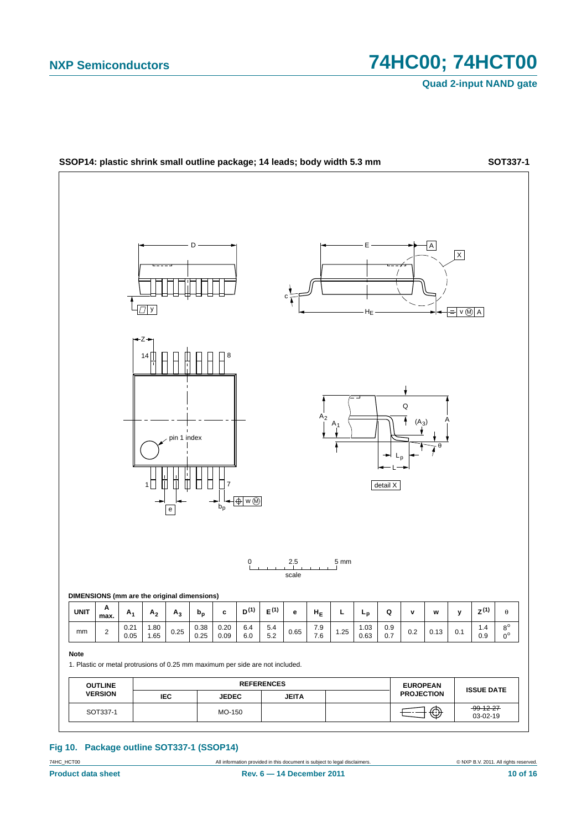**Quad 2-input NAND gate**



#### **Fig 10. Package outline SOT337-1 (SSOP14)**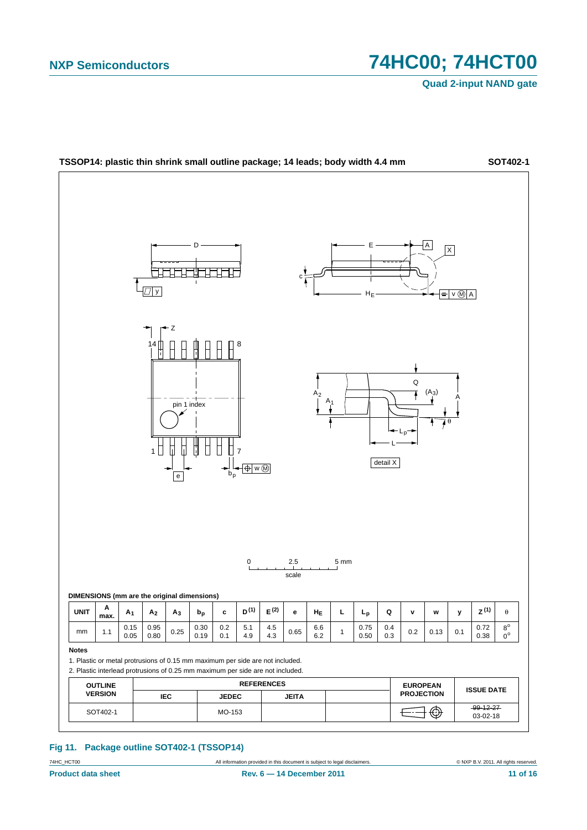**Quad 2-input NAND gate**



**Fig 11. Package outline SOT402-1 (TSSOP14)**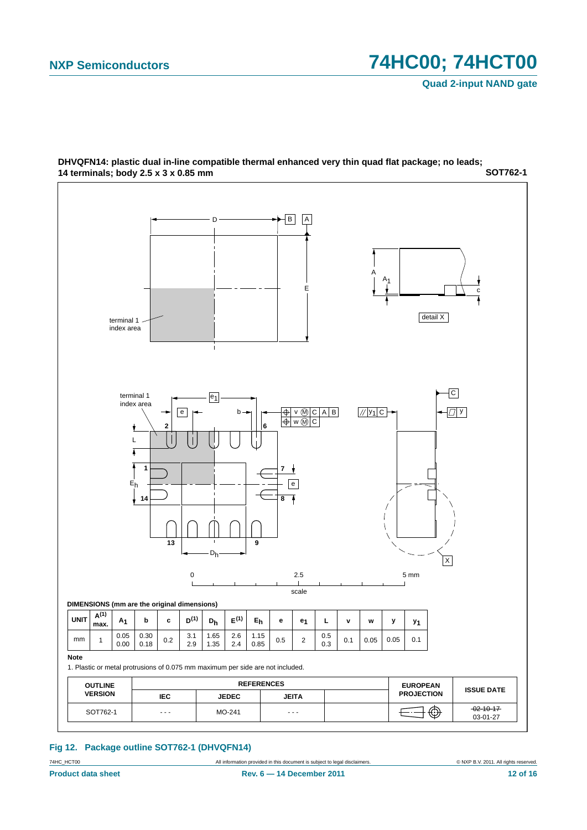

**SOT762-1 DHVQFN14: plastic dual in-line compatible thermal enhanced very thin quad flat package; no leads; 14 terminals; body 2.5 x 3 x 0.85 mm**

#### **Fig 12. Package outline SOT762-1 (DHVQFN14)**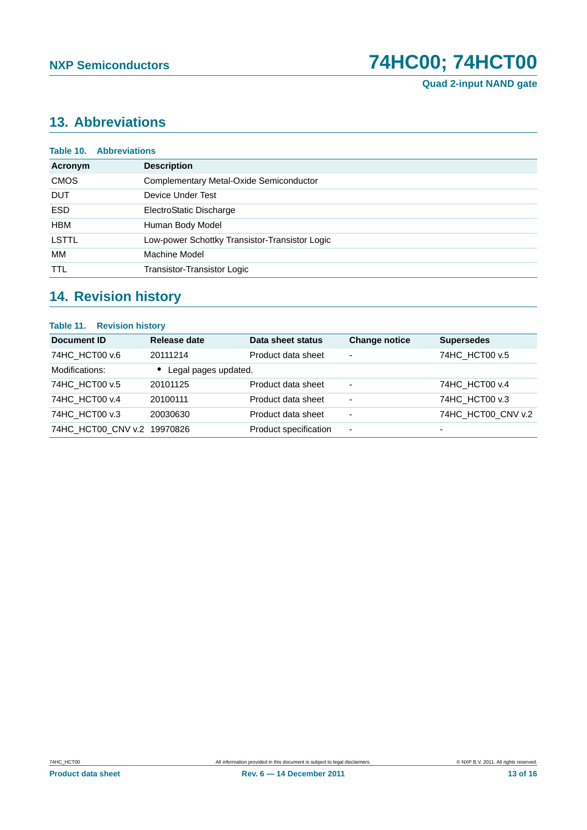# <span id="page-12-0"></span>**13. Abbreviations**

| Table 10.<br><b>Abbreviations</b>              |  |  |  |
|------------------------------------------------|--|--|--|
| <b>Description</b>                             |  |  |  |
| Complementary Metal-Oxide Semiconductor        |  |  |  |
| Device Under Test                              |  |  |  |
| ElectroStatic Discharge                        |  |  |  |
| Human Body Model                               |  |  |  |
| Low-power Schottky Transistor-Transistor Logic |  |  |  |
| Machine Model                                  |  |  |  |
| Transistor-Transistor Logic                    |  |  |  |
|                                                |  |  |  |

# <span id="page-12-1"></span>**14. Revision history**

#### **Table 11. Revision history**

| Document ID                 | Release date         | Data sheet status     | <b>Change notice</b> | <b>Supersedes</b>        |
|-----------------------------|----------------------|-----------------------|----------------------|--------------------------|
| 74HC HCT00 v.6              | 20111214             | Product data sheet    | -                    | 74HC HCT00 v.5           |
| Modifications:              | Legal pages updated. |                       |                      |                          |
| 74HC HCT00 v.5              | 20101125             | Product data sheet    | -                    | 74HC HCT00 v.4           |
| 74HC HCT00 v.4              | 20100111             | Product data sheet    | ۰                    | 74HC HCT00 v.3           |
| 74HC HCT00 v.3              | 20030630             | Product data sheet    | -                    | 74HC_HCT00_CNV v.2       |
| 74HC HCT00 CNV v.2 19970826 |                      | Product specification | ٠                    | $\overline{\phantom{0}}$ |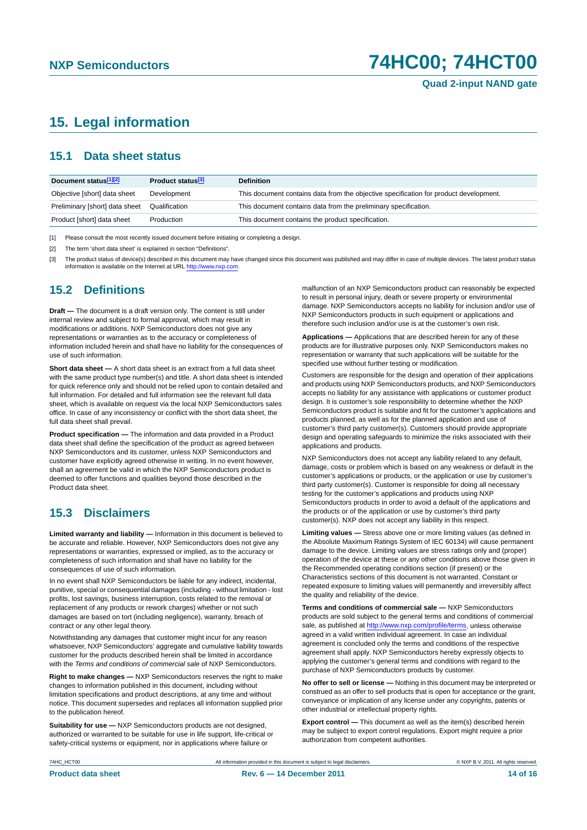## <span id="page-13-0"></span>**15. Legal information**

#### <span id="page-13-1"></span>**15.1 Data sheet status**

| Document status[1][2]          | Product status <sup>[3]</sup> | <b>Definition</b>                                                                     |
|--------------------------------|-------------------------------|---------------------------------------------------------------------------------------|
| Objective [short] data sheet   | Development                   | This document contains data from the objective specification for product development. |
| Preliminary [short] data sheet | Qualification                 | This document contains data from the preliminary specification.                       |
| Product [short] data sheet     | Production                    | This document contains the product specification.                                     |

[1] Please consult the most recently issued document before initiating or completing a design.

[2] The term 'short data sheet' is explained in section "Definitions".

[3] The product status of device(s) described in this document may have changed since this document was published and may differ in case of multiple devices. The latest product status<br>information is available on the Intern

#### <span id="page-13-2"></span>**15.2 Definitions**

**Draft —** The document is a draft version only. The content is still under internal review and subject to formal approval, which may result in modifications or additions. NXP Semiconductors does not give any representations or warranties as to the accuracy or completeness of information included herein and shall have no liability for the consequences of use of such information.

**Short data sheet —** A short data sheet is an extract from a full data sheet with the same product type number(s) and title. A short data sheet is intended for quick reference only and should not be relied upon to contain detailed and full information. For detailed and full information see the relevant full data sheet, which is available on request via the local NXP Semiconductors sales office. In case of any inconsistency or conflict with the short data sheet, the full data sheet shall prevail.

**Product specification —** The information and data provided in a Product data sheet shall define the specification of the product as agreed between NXP Semiconductors and its customer, unless NXP Semiconductors and customer have explicitly agreed otherwise in writing. In no event however, shall an agreement be valid in which the NXP Semiconductors product is deemed to offer functions and qualities beyond those described in the Product data sheet.

### <span id="page-13-3"></span>**15.3 Disclaimers**

**Limited warranty and liability —** Information in this document is believed to be accurate and reliable. However, NXP Semiconductors does not give any representations or warranties, expressed or implied, as to the accuracy or completeness of such information and shall have no liability for the consequences of use of such information.

In no event shall NXP Semiconductors be liable for any indirect, incidental, punitive, special or consequential damages (including - without limitation - lost profits, lost savings, business interruption, costs related to the removal or replacement of any products or rework charges) whether or not such damages are based on tort (including negligence), warranty, breach of contract or any other legal theory.

Notwithstanding any damages that customer might incur for any reason whatsoever, NXP Semiconductors' aggregate and cumulative liability towards customer for the products described herein shall be limited in accordance with the *Terms and conditions of commercial sale* of NXP Semiconductors.

**Right to make changes —** NXP Semiconductors reserves the right to make changes to information published in this document, including without limitation specifications and product descriptions, at any time and without notice. This document supersedes and replaces all information supplied prior to the publication hereof.

**Suitability for use —** NXP Semiconductors products are not designed, authorized or warranted to be suitable for use in life support, life-critical or safety-critical systems or equipment, nor in applications where failure or

malfunction of an NXP Semiconductors product can reasonably be expected to result in personal injury, death or severe property or environmental damage. NXP Semiconductors accepts no liability for inclusion and/or use of NXP Semiconductors products in such equipment or applications and therefore such inclusion and/or use is at the customer's own risk.

**Applications —** Applications that are described herein for any of these products are for illustrative purposes only. NXP Semiconductors makes no representation or warranty that such applications will be suitable for the specified use without further testing or modification.

Customers are responsible for the design and operation of their applications and products using NXP Semiconductors products, and NXP Semiconductors accepts no liability for any assistance with applications or customer product design. It is customer's sole responsibility to determine whether the NXP Semiconductors product is suitable and fit for the customer's applications and products planned, as well as for the planned application and use of customer's third party customer(s). Customers should provide appropriate design and operating safeguards to minimize the risks associated with their applications and products.

NXP Semiconductors does not accept any liability related to any default, damage, costs or problem which is based on any weakness or default in the customer's applications or products, or the application or use by customer's third party customer(s). Customer is responsible for doing all necessary testing for the customer's applications and products using NXP Semiconductors products in order to avoid a default of the applications and the products or of the application or use by customer's third party customer(s). NXP does not accept any liability in this respect.

**Limiting values —** Stress above one or more limiting values (as defined in the Absolute Maximum Ratings System of IEC 60134) will cause permanent damage to the device. Limiting values are stress ratings only and (proper) operation of the device at these or any other conditions above those given in the Recommended operating conditions section (if present) or the Characteristics sections of this document is not warranted. Constant or repeated exposure to limiting values will permanently and irreversibly affect the quality and reliability of the device.

**Terms and conditions of commercial sale —** NXP Semiconductors products are sold subject to the general terms and conditions of commercial sale, as published at<http://www.nxp.com/profile/terms>, unless otherwise agreed in a valid written individual agreement. In case an individual agreement is concluded only the terms and conditions of the respective agreement shall apply. NXP Semiconductors hereby expressly objects to applying the customer's general terms and conditions with regard to the purchase of NXP Semiconductors products by customer.

**No offer to sell or license —** Nothing in this document may be interpreted or construed as an offer to sell products that is open for acceptance or the grant, conveyance or implication of any license under any copyrights, patents or other industrial or intellectual property rights.

**Export control —** This document as well as the item(s) described herein may be subject to export control regulations. Export might require a prior authorization from competent authorities.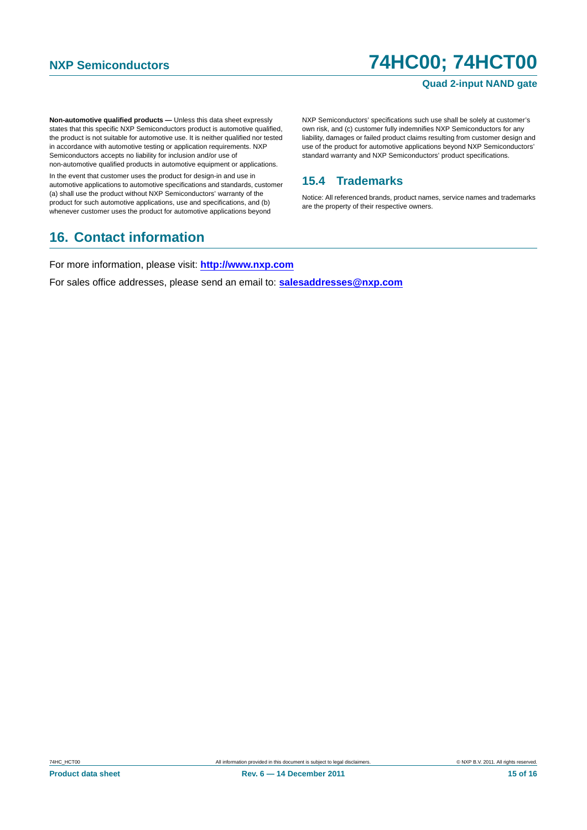#### **Quad 2-input NAND gate**

**Non-automotive qualified products —** Unless this data sheet expressly states that this specific NXP Semiconductors product is automotive qualified, the product is not suitable for automotive use. It is neither qualified nor tested in accordance with automotive testing or application requirements. NXP Semiconductors accepts no liability for inclusion and/or use of non-automotive qualified products in automotive equipment or applications.

In the event that customer uses the product for design-in and use in automotive applications to automotive specifications and standards, customer (a) shall use the product without NXP Semiconductors' warranty of the product for such automotive applications, use and specifications, and (b) whenever customer uses the product for automotive applications beyond

## <span id="page-14-1"></span>**16. Contact information**

NXP Semiconductors' specifications such use shall be solely at customer's own risk, and (c) customer fully indemnifies NXP Semiconductors for any liability, damages or failed product claims resulting from customer design and use of the product for automotive applications beyond NXP Semiconductors' standard warranty and NXP Semiconductors' product specifications.

### <span id="page-14-0"></span>**15.4 Trademarks**

Notice: All referenced brands, product names, service names and trademarks are the property of their respective owners.

For more information, please visit: **http://www.nxp.com**

For sales office addresses, please send an email to: **salesaddresses@nxp.com**